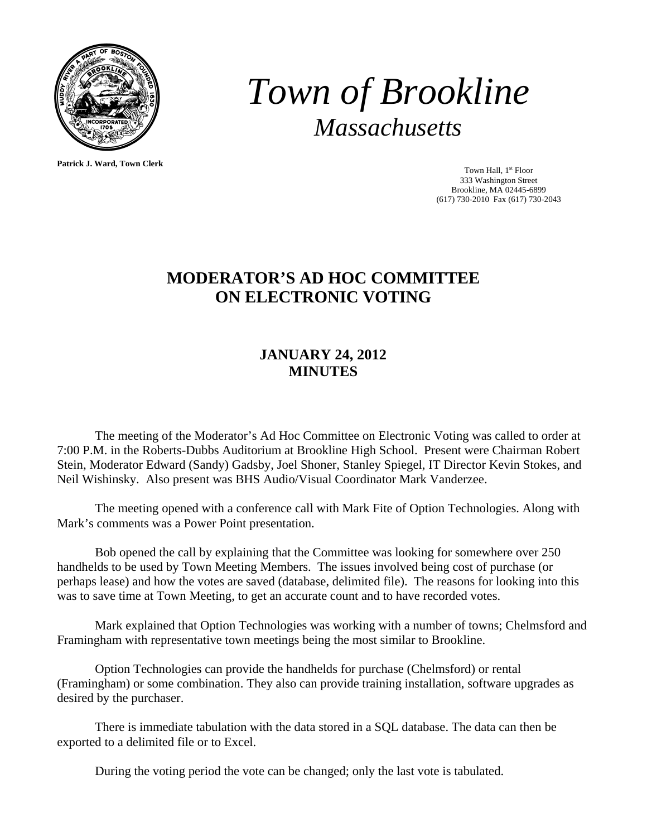

**Patrick J. Ward, Town Clerk**

*Town of Brookline Massachusetts* 

> Town Hall, 1<sup>st</sup> Floor 333 Washington Street Brookline, MA 02445-6899 (617) 730-2010 Fax (617) 730-2043

## **MODERATOR'S AD HOC COMMITTEE ON ELECTRONIC VOTING**

## **JANUARY 24, 2012 MINUTES**

 The meeting of the Moderator's Ad Hoc Committee on Electronic Voting was called to order at 7:00 P.M. in the Roberts-Dubbs Auditorium at Brookline High School. Present were Chairman Robert Stein, Moderator Edward (Sandy) Gadsby, Joel Shoner, Stanley Spiegel, IT Director Kevin Stokes, and Neil Wishinsky. Also present was BHS Audio/Visual Coordinator Mark Vanderzee.

 The meeting opened with a conference call with Mark Fite of Option Technologies. Along with Mark's comments was a Power Point presentation.

 Bob opened the call by explaining that the Committee was looking for somewhere over 250 handhelds to be used by Town Meeting Members. The issues involved being cost of purchase (or perhaps lease) and how the votes are saved (database, delimited file). The reasons for looking into this was to save time at Town Meeting, to get an accurate count and to have recorded votes.

 Mark explained that Option Technologies was working with a number of towns; Chelmsford and Framingham with representative town meetings being the most similar to Brookline.

 Option Technologies can provide the handhelds for purchase (Chelmsford) or rental (Framingham) or some combination. They also can provide training installation, software upgrades as desired by the purchaser.

 There is immediate tabulation with the data stored in a SQL database. The data can then be exported to a delimited file or to Excel.

During the voting period the vote can be changed; only the last vote is tabulated.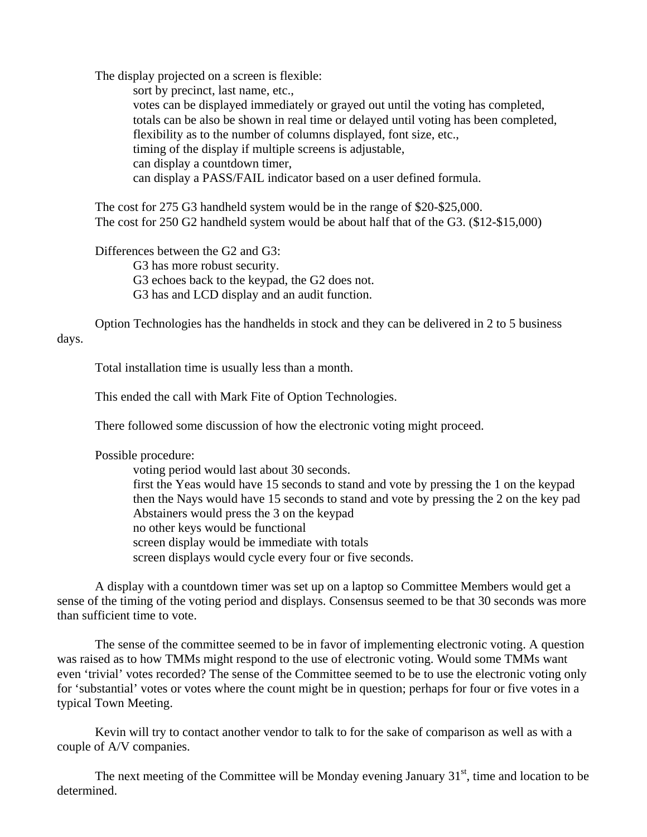The display projected on a screen is flexible:

 sort by precinct, last name, etc., votes can be displayed immediately or grayed out until the voting has completed, totals can be also be shown in real time or delayed until voting has been completed, flexibility as to the number of columns displayed, font size, etc., timing of the display if multiple screens is adjustable, can display a countdown timer, can display a PASS/FAIL indicator based on a user defined formula.

 The cost for 275 G3 handheld system would be in the range of \$20-\$25,000. The cost for 250 G2 handheld system would be about half that of the G3. (\$12-\$15,000)

 Differences between the G2 and G3: G3 has more robust security. G3 echoes back to the keypad, the G2 does not. G3 has and LCD display and an audit function.

 Option Technologies has the handhelds in stock and they can be delivered in 2 to 5 business days.

Total installation time is usually less than a month.

This ended the call with Mark Fite of Option Technologies.

There followed some discussion of how the electronic voting might proceed.

Possible procedure:

 voting period would last about 30 seconds. first the Yeas would have 15 seconds to stand and vote by pressing the 1 on the keypad then the Nays would have 15 seconds to stand and vote by pressing the 2 on the key pad Abstainers would press the 3 on the keypad no other keys would be functional screen display would be immediate with totals screen displays would cycle every four or five seconds.

 A display with a countdown timer was set up on a laptop so Committee Members would get a sense of the timing of the voting period and displays. Consensus seemed to be that 30 seconds was more than sufficient time to vote.

 The sense of the committee seemed to be in favor of implementing electronic voting. A question was raised as to how TMMs might respond to the use of electronic voting. Would some TMMs want even 'trivial' votes recorded? The sense of the Committee seemed to be to use the electronic voting only for 'substantial' votes or votes where the count might be in question; perhaps for four or five votes in a typical Town Meeting.

 Kevin will try to contact another vendor to talk to for the sake of comparison as well as with a couple of A/V companies.

The next meeting of the Committee will be Monday evening January  $31<sup>st</sup>$ , time and location to be determined.